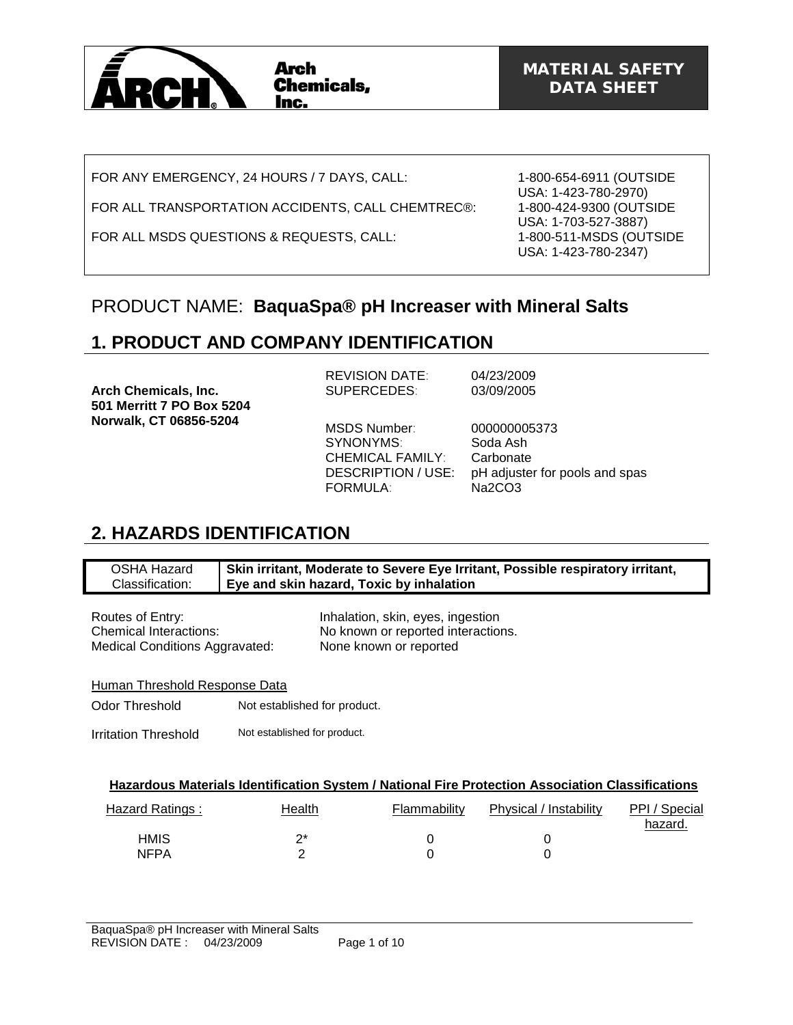

FOR ANY EMERGENCY, 24 HOURS / 7 DAYS, CALL:

FOR ALL TRANSPORTATION ACCIDENTS, CALL CHEMTREC®:

FOR ALL MSDS QUESTIONS & REQUESTS, CALL:

1-800-654-6911 (OUTSIDE USA: 1-423-780-2970) 1-800-424-9300 (OUTSIDE USA: 1-703-527-3887) 1-800-511-MSDS (OUTSIDE USA: 1-423-780-2347)

## PRODUCT NAME: **BaquaSpa® pH Increaser with Mineral Salts**

# **1. PRODUCT AND COMPANY IDENTIFICATION**

|                             | <b>REVISION DATE:</b>   | 04/23/2009                     |
|-----------------------------|-------------------------|--------------------------------|
| <b>Arch Chemicals, Inc.</b> | <b>SUPERCEDES:</b>      | 03/09/2005                     |
| 501 Merritt 7 PO Box 5204   |                         |                                |
| Norwalk, CT 06856-5204      |                         |                                |
|                             | MSDS Number:            | 000000005373                   |
|                             | SYNONYMS:               | Soda Ash                       |
|                             | <b>CHEMICAL FAMILY:</b> | Carbonate                      |
|                             | DESCRIPTION / USE:      | pH adjuster for pools and spas |
|                             | <b>FORMULA:</b>         | Na2CO3                         |

## **2. HAZARDS IDENTIFICATION**

| OSHA Hazard     | Skin irritant, Moderate to Severe Eye Irritant, Possible respiratory irritant, |
|-----------------|--------------------------------------------------------------------------------|
| Classification: | Eye and skin hazard, Toxic by inhalation                                       |

Routes of Entry: The Mateus of Entry: Inhalation, skin, eyes, ingestion Medical Conditions Aggravated: None known or reported

Chemical Interactions: No known or reported interactions.

Human Threshold Response Data

Odor Threshold Not established for product.

Irritation Threshold Not established for product.

| Hazard Ratings : | Health | Flammability | Physical / Instability | PPI / Special<br>hazard. |
|------------------|--------|--------------|------------------------|--------------------------|
| HMIS             | ∩*     |              |                        |                          |
| <b>NFPA</b>      |        |              |                        |                          |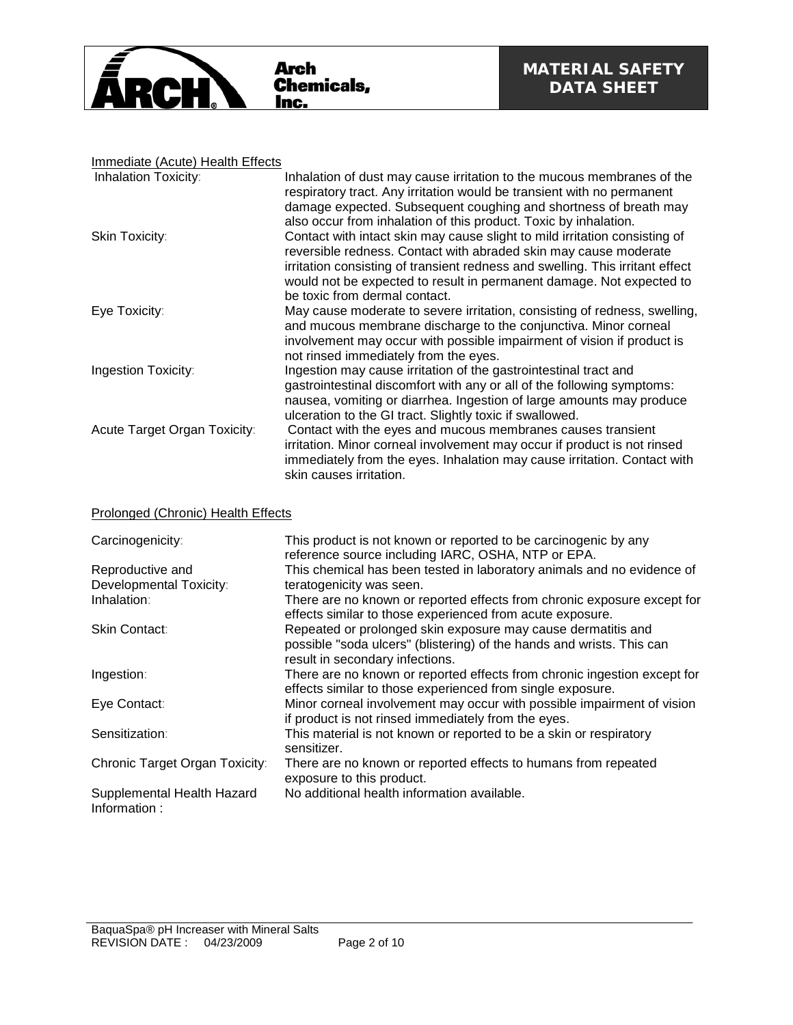

### Immediate (Acute) Health Effects

| Inhalation Toxicity:         | Inhalation of dust may cause irritation to the mucous membranes of the<br>respiratory tract. Any irritation would be transient with no permanent<br>damage expected. Subsequent coughing and shortness of breath may<br>also occur from inhalation of this product. Toxic by inhalation.                                                 |
|------------------------------|------------------------------------------------------------------------------------------------------------------------------------------------------------------------------------------------------------------------------------------------------------------------------------------------------------------------------------------|
| Skin Toxicity:               | Contact with intact skin may cause slight to mild irritation consisting of<br>reversible redness. Contact with abraded skin may cause moderate<br>irritation consisting of transient redness and swelling. This irritant effect<br>would not be expected to result in permanent damage. Not expected to<br>be toxic from dermal contact. |
| Eye Toxicity:                | May cause moderate to severe irritation, consisting of redness, swelling,<br>and mucous membrane discharge to the conjunctiva. Minor corneal<br>involvement may occur with possible impairment of vision if product is<br>not rinsed immediately from the eyes.                                                                          |
| Ingestion Toxicity:          | Ingestion may cause irritation of the gastrointestinal tract and<br>gastrointestinal discomfort with any or all of the following symptoms:<br>nausea, vomiting or diarrhea. Ingestion of large amounts may produce<br>ulceration to the GI tract. Slightly toxic if swallowed.                                                           |
| Acute Target Organ Toxicity: | Contact with the eyes and mucous membranes causes transient<br>irritation. Minor corneal involvement may occur if product is not rinsed<br>immediately from the eyes. Inhalation may cause irritation. Contact with<br>skin causes irritation.                                                                                           |

### Prolonged (Chronic) Health Effects

| Carcinogenicity:                           | This product is not known or reported to be carcinogenic by any<br>reference source including IARC, OSHA, NTP or EPA.                                                    |
|--------------------------------------------|--------------------------------------------------------------------------------------------------------------------------------------------------------------------------|
| Reproductive and                           | This chemical has been tested in laboratory animals and no evidence of                                                                                                   |
| Developmental Toxicity:                    | teratogenicity was seen.                                                                                                                                                 |
| Inhalation:                                | There are no known or reported effects from chronic exposure except for<br>effects similar to those experienced from acute exposure.                                     |
| <b>Skin Contact:</b>                       | Repeated or prolonged skin exposure may cause dermatitis and<br>possible "soda ulcers" (blistering) of the hands and wrists. This can<br>result in secondary infections. |
| Ingestion:                                 | There are no known or reported effects from chronic ingestion except for<br>effects similar to those experienced from single exposure.                                   |
| Eye Contact:                               | Minor corneal involvement may occur with possible impairment of vision<br>if product is not rinsed immediately from the eyes.                                            |
| Sensitization:                             | This material is not known or reported to be a skin or respiratory<br>sensitizer.                                                                                        |
| Chronic Target Organ Toxicity:             | There are no known or reported effects to humans from repeated<br>exposure to this product.                                                                              |
| Supplemental Health Hazard<br>Information: | No additional health information available.                                                                                                                              |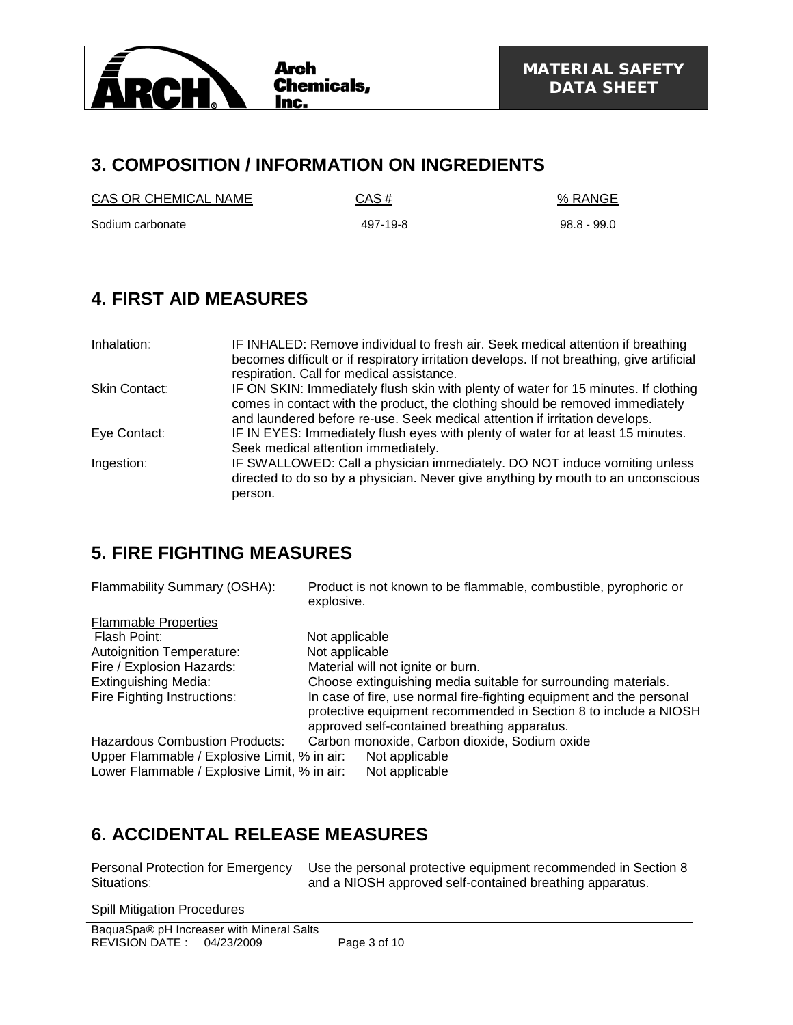

## **3. COMPOSITION / INFORMATION ON INGREDIENTS**

 $CAS OR CHEMICAL NAME$   $CAS #$   $% RANGE$ 

Sodium carbonate 61 1 200 100 100 100 497-19-8 98.8 - 99.0 497-19-8

# **4. FIRST AID MEASURES**

| Inhalation:   | IF INHALED: Remove individual to fresh air. Seek medical attention if breathing<br>becomes difficult or if respiratory irritation develops. If not breathing, give artificial<br>respiration. Call for medical assistance.                          |
|---------------|-----------------------------------------------------------------------------------------------------------------------------------------------------------------------------------------------------------------------------------------------------|
| Skin Contact: | IF ON SKIN: Immediately flush skin with plenty of water for 15 minutes. If clothing<br>comes in contact with the product, the clothing should be removed immediately<br>and laundered before re-use. Seek medical attention if irritation develops. |
| Eye Contact:  | IF IN EYES: Immediately flush eyes with plenty of water for at least 15 minutes.<br>Seek medical attention immediately.                                                                                                                             |
| Ingestion:    | IF SWALLOWED: Call a physician immediately. DO NOT induce vomiting unless<br>directed to do so by a physician. Never give anything by mouth to an unconscious<br>person.                                                                            |

## **5. FIRE FIGHTING MEASURES**

| Flammability Summary (OSHA):                                                                                                          | Product is not known to be flammable, combustible, pyrophoric or<br>explosive.                                                                                                                        |
|---------------------------------------------------------------------------------------------------------------------------------------|-------------------------------------------------------------------------------------------------------------------------------------------------------------------------------------------------------|
| <b>Flammable Properties</b><br>Flash Point:<br><b>Autoignition Temperature:</b>                                                       | Not applicable<br>Not applicable                                                                                                                                                                      |
| Fire / Explosion Hazards:<br><b>Extinguishing Media:</b><br>Fire Fighting Instructions:                                               | Material will not ignite or burn.<br>Choose extinguishing media suitable for surrounding materials.<br>In case of fire, use normal fire-fighting equipment and the personal                           |
| <b>Hazardous Combustion Products:</b><br>Upper Flammable / Explosive Limit, % in air:<br>Lower Flammable / Explosive Limit, % in air: | protective equipment recommended in Section 8 to include a NIOSH<br>approved self-contained breathing apparatus.<br>Carbon monoxide, Carbon dioxide, Sodium oxide<br>Not applicable<br>Not applicable |

# **6. ACCIDENTAL RELEASE MEASURES**

Personal Protection for Emergency Situations:

Use the personal protective equipment recommended in Section 8 and a NIOSH approved self-contained breathing apparatus.

Spill Mitigation Procedures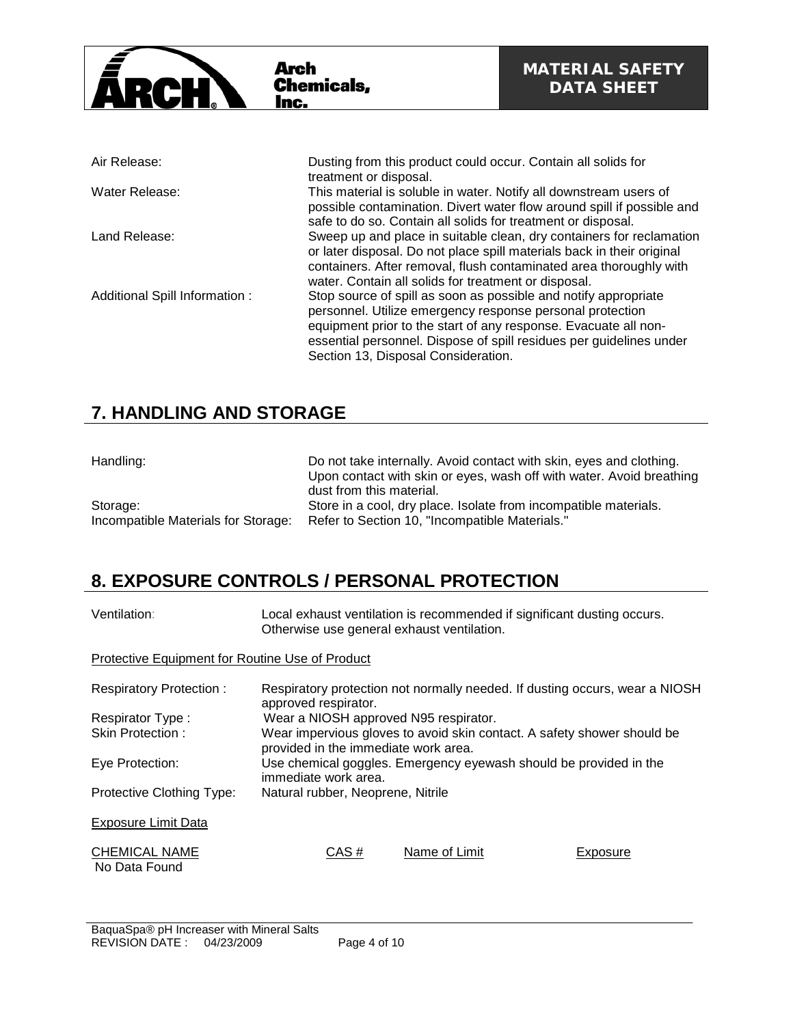

## **7. HANDLING AND STORAGE**

| Handling:                           | Do not take internally. Avoid contact with skin, eyes and clothing.  |
|-------------------------------------|----------------------------------------------------------------------|
|                                     | Upon contact with skin or eyes, wash off with water. Avoid breathing |
|                                     | dust from this material.                                             |
| Storage:                            | Store in a cool, dry place. Isolate from incompatible materials.     |
| Incompatible Materials for Storage: | Refer to Section 10, "Incompatible Materials."                       |

Section 13, Disposal Consideration.

## **8. EXPOSURE CONTROLS / PERSONAL PROTECTION**

| Ventilation:                                    | Otherwise use general exhaust ventilation.                                                | Local exhaust ventilation is recommended if significant dusting occurs.     |                 |
|-------------------------------------------------|-------------------------------------------------------------------------------------------|-----------------------------------------------------------------------------|-----------------|
| Protective Equipment for Routine Use of Product |                                                                                           |                                                                             |                 |
| Respiratory Protection:                         | approved respirator.                                                                      | Respiratory protection not normally needed. If dusting occurs, wear a NIOSH |                 |
| Respirator Type:                                | Wear a NIOSH approved N95 respirator.                                                     |                                                                             |                 |
| Skin Protection:                                | provided in the immediate work area.                                                      | Wear impervious gloves to avoid skin contact. A safety shower should be     |                 |
| Eye Protection:                                 | Use chemical goggles. Emergency eyewash should be provided in the<br>immediate work area. |                                                                             |                 |
| Protective Clothing Type:                       | Natural rubber, Neoprene, Nitrile                                                         |                                                                             |                 |
| <b>Exposure Limit Data</b>                      |                                                                                           |                                                                             |                 |
| <b>CHEMICAL NAME</b><br>No Data Found           | CAS#                                                                                      | Name of Limit                                                               | <b>Exposure</b> |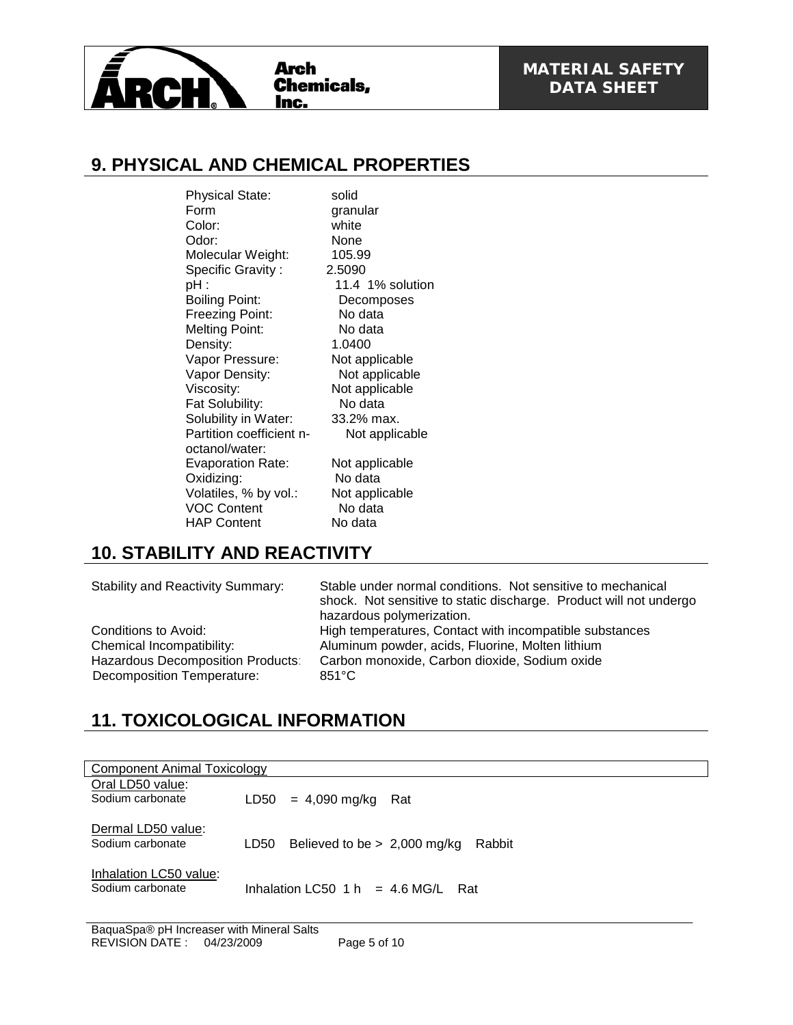

## **9. PHYSICAL AND CHEMICAL PROPERTIES**

Physical State:<br>
Form aranu Color: white Odor: None<br>Molecular Weight: 105.99 Molecular Weight: Specific Gravity : 2.5090 pH : 11.4 1% solution<br>Boiling Point: Decomposes Boiling Point: Freezing Point: No data Melting Point: No data<br>Density: 1.0400 Density: Vapor Pressure: Not applicable Vapor Density:<br>
Viscosity: Not applicable<br>
Viscosity: Not applicable Fat Solubility: No data Solubility in Water: 33.2% max. Partition coefficient noctanol/water: Evaporation Rate: Not applicable<br>
Oxidizing: No data Oxidizing: Volatiles, % by vol.: Not applicable<br>VOC Content No data VOC Content No data<br>
HAP Content No data HAP Content

granular Not applicable Not applicable

## **10. STABILITY AND REACTIVITY**

Decomposition Temperature:

Stability and Reactivity Summary: Stable under normal conditions. Not sensitive to mechanical shock. Not sensitive to static discharge. Product will not undergo hazardous polymerization. Conditions to Avoid: High temperatures, Contact with incompatible substances Chemical Incompatibility: Aluminum powder, acids, Fluorine, Molten lithium Hazardous Decomposition Products: Carbon monoxide, Carbon dioxide, Sodium oxide<br>Decomposition Temperature: 851°C

# **11. TOXICOLOGICAL INFORMATION**

| Component Animal Toxicology                |                                                  |
|--------------------------------------------|--------------------------------------------------|
| Oral LD50 value:<br>Sodium carbonate       | = 4,090 mg/kg<br>LD50<br>Rat                     |
| Dermal LD50 value:<br>Sodium carbonate     | Believed to be $> 2,000$ mg/kg<br>Rabbit<br>LD50 |
| Inhalation LC50 value:<br>Sodium carbonate | Inhalation LC50 $1 h = 4.6 M G/L$<br>Rat         |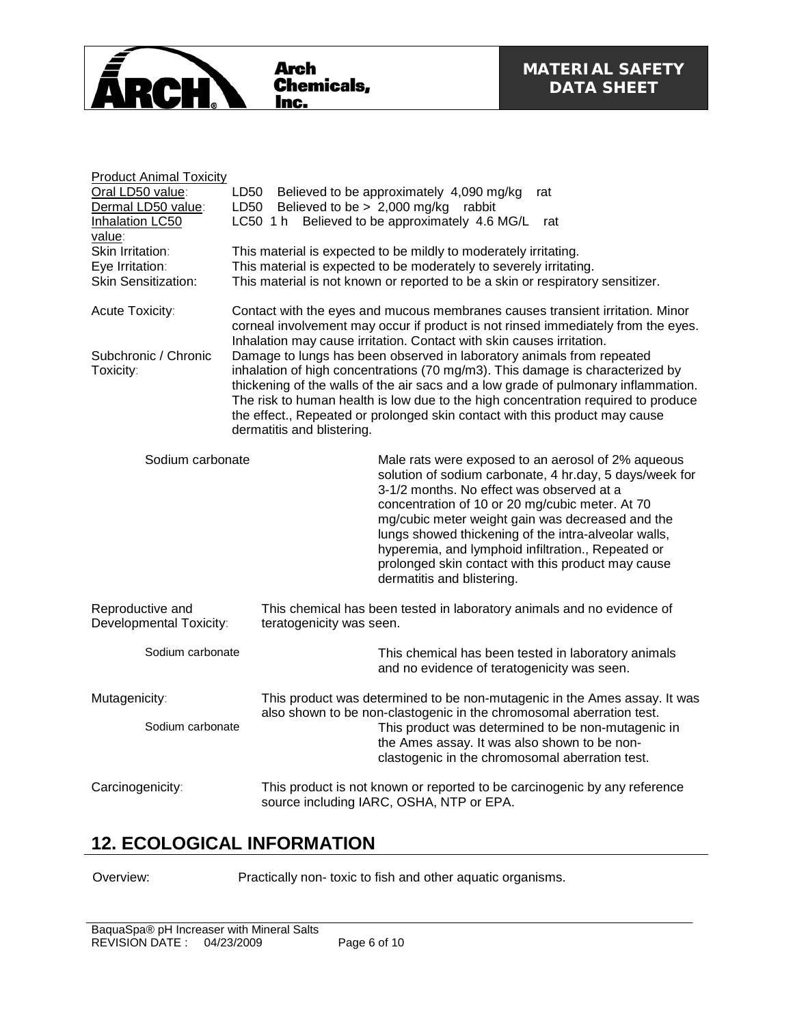

| <b>Product Animal Toxicity</b>                                                                                                            |                                                                                                                                                                                                                                                                                                                                                                                                                                                                     |  |  |
|-------------------------------------------------------------------------------------------------------------------------------------------|---------------------------------------------------------------------------------------------------------------------------------------------------------------------------------------------------------------------------------------------------------------------------------------------------------------------------------------------------------------------------------------------------------------------------------------------------------------------|--|--|
| Oral LD50 value:                                                                                                                          | Believed to be approximately 4,090 mg/kg<br>LD50<br>rat                                                                                                                                                                                                                                                                                                                                                                                                             |  |  |
| Dermal LD50 value:                                                                                                                        | Believed to be $> 2,000$ mg/kg<br>LD50<br>rabbit                                                                                                                                                                                                                                                                                                                                                                                                                    |  |  |
| Inhalation LC50                                                                                                                           | LC50 1 h Believed to be approximately 4.6 MG/L<br>rat                                                                                                                                                                                                                                                                                                                                                                                                               |  |  |
| value:                                                                                                                                    |                                                                                                                                                                                                                                                                                                                                                                                                                                                                     |  |  |
| Skin Irritation:                                                                                                                          | This material is expected to be mildly to moderately irritating.                                                                                                                                                                                                                                                                                                                                                                                                    |  |  |
| Eye Irritation:                                                                                                                           | This material is expected to be moderately to severely irritating.                                                                                                                                                                                                                                                                                                                                                                                                  |  |  |
| <b>Skin Sensitization:</b>                                                                                                                | This material is not known or reported to be a skin or respiratory sensitizer.                                                                                                                                                                                                                                                                                                                                                                                      |  |  |
| Acute Toxicity:                                                                                                                           | Contact with the eyes and mucous membranes causes transient irritation. Minor<br>corneal involvement may occur if product is not rinsed immediately from the eyes.<br>Inhalation may cause irritation. Contact with skin causes irritation.                                                                                                                                                                                                                         |  |  |
| Subchronic / Chronic<br>Toxicity:                                                                                                         | Damage to lungs has been observed in laboratory animals from repeated<br>inhalation of high concentrations (70 mg/m3). This damage is characterized by<br>thickening of the walls of the air sacs and a low grade of pulmonary inflammation.<br>The risk to human health is low due to the high concentration required to produce<br>the effect., Repeated or prolonged skin contact with this product may cause<br>dermatitis and blistering.                      |  |  |
| Sodium carbonate                                                                                                                          | Male rats were exposed to an aerosol of 2% aqueous<br>solution of sodium carbonate, 4 hr.day, 5 days/week for<br>3-1/2 months. No effect was observed at a<br>concentration of 10 or 20 mg/cubic meter. At 70<br>mg/cubic meter weight gain was decreased and the<br>lungs showed thickening of the intra-alveolar walls,<br>hyperemia, and lymphoid infiltration., Repeated or<br>prolonged skin contact with this product may cause<br>dermatitis and blistering. |  |  |
| Reproductive and<br>Developmental Toxicity:                                                                                               | This chemical has been tested in laboratory animals and no evidence of<br>teratogenicity was seen.                                                                                                                                                                                                                                                                                                                                                                  |  |  |
| Sodium carbonate                                                                                                                          | This chemical has been tested in laboratory animals<br>and no evidence of teratogenicity was seen.                                                                                                                                                                                                                                                                                                                                                                  |  |  |
| Mutagenicity:                                                                                                                             | This product was determined to be non-mutagenic in the Ames assay. It was<br>also shown to be non-clastogenic in the chromosomal aberration test.                                                                                                                                                                                                                                                                                                                   |  |  |
| Sodium carbonate                                                                                                                          | This product was determined to be non-mutagenic in<br>the Ames assay. It was also shown to be non-<br>clastogenic in the chromosomal aberration test.                                                                                                                                                                                                                                                                                                               |  |  |
| This product is not known or reported to be carcinogenic by any reference<br>Carcinogenicity:<br>source including IARC, OSHA, NTP or EPA. |                                                                                                                                                                                                                                                                                                                                                                                                                                                                     |  |  |

## **12. ECOLOGICAL INFORMATION**

Overview: Practically non- toxic to fish and other aquatic organisms.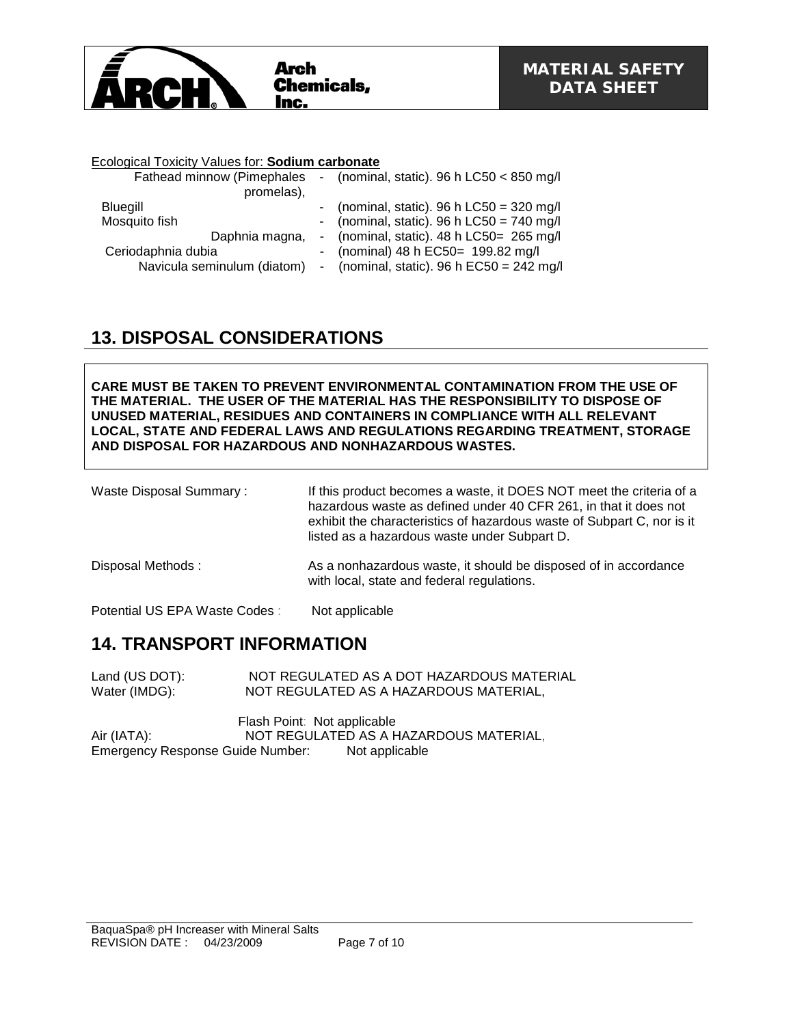

### Ecological Toxicity Values for: **Sodium carbonate**

| Fathead minnow (Pimephales<br>promelas), | - (nominal, static). $96 h$ LC50 < 850 mg/l  |
|------------------------------------------|----------------------------------------------|
| Bluegill                                 | - (nominal, static). $96 h$ LC50 = 320 mg/l  |
| Mosquito fish                            | - (nominal, static). $96 h$ LC50 = 740 mg/l  |
| Daphnia magna,                           | - (nominal, static). $48 h$ LC50= $265 mg/l$ |
| Ceriodaphnia dubia                       | - (nominal) 48 h EC50= 199.82 mg/l           |
| Navicula seminulum (diatom)              | - (nominal, static). $96 h E C50 = 242 mg/l$ |

## **13. DISPOSAL CONSIDERATIONS**

**CARE MUST BE TAKEN TO PREVENT ENVIRONMENTAL CONTAMINATION FROM THE USE OF THE MATERIAL. THE USER OF THE MATERIAL HAS THE RESPONSIBILITY TO DISPOSE OF UNUSED MATERIAL, RESIDUES AND CONTAINERS IN COMPLIANCE WITH ALL RELEVANT LOCAL, STATE AND FEDERAL LAWS AND REGULATIONS REGARDING TREATMENT, STORAGE AND DISPOSAL FOR HAZARDOUS AND NONHAZARDOUS WASTES.** 

Waste Disposal Summary : If this product becomes a waste, it DOES NOT meet the criteria of a hazardous waste as defined under 40 CFR 261, in that it does not exhibit the characteristics of hazardous waste of Subpart C, nor is it listed as a hazardous waste under Subpart D.

Disposal Methods : As a nonhazardous waste, it should be disposed of in accordance with local, state and federal regulations.

Potential US EPA Waste Codes : Not applicable

### **14. TRANSPORT INFORMATION**

Land (US DOT): NOT REGULATED AS A DOT HAZARDOUS MATERIAL<br>Water (IMDG): NOT REGULATED AS A HAZARDOUS MATERIAL, NOT REGULATED AS A HAZARDOUS MATERIAL,

Flash Point: Not applicable Air (IATA): NOT REGULATED AS A HAZARDOUS MATERIAL,<br>Emergency Response Guide Number: Not applicable Emergency Response Guide Number: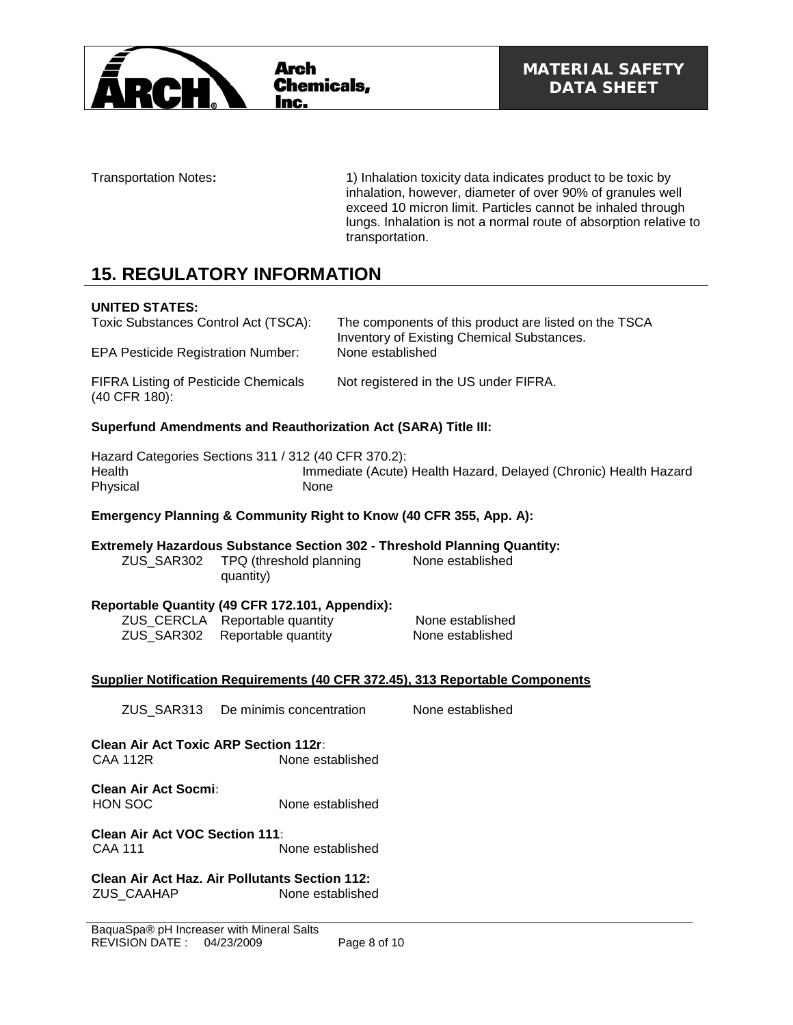

Transportation Notes**:** 1) Inhalation toxicity data indicates product to be toxic by inhalation, however, diameter of over 90% of granules well exceed 10 micron limit. Particles cannot be inhaled through lungs. Inhalation is not a normal route of absorption relative to transportation.

## **15. REGULATORY INFORMATION**

### **UNITED STATES:**

Toxic Substances Control Act (TSCA): The components of this product are listed on the TSCA Inventory of Existing Chemical Substances. EPA Pesticide Registration Number: None established FIFRA Listing of Pesticide Chemicals (40 CFR 180): Not registered in the US under FIFRA.

### **Superfund Amendments and Reauthorization Act (SARA) Title III:**

Hazard Categories Sections 311 / 312 (40 CFR 370.2): Immediate (Acute) Health Hazard, Delayed (Chronic) Health Hazard Physical None

### **Emergency Planning & Community Right to Know (40 CFR 355, App. A):**

#### **Extremely Hazardous Substance Section 302 - Threshold Planning Quantity:** None established

ZUS\_SAR302 TPQ (threshold planning quantity)

### **Reportable Quantity (49 CFR 172.101, Appendix):**

| ZUS_CERCLA Reportable quantity | None established |
|--------------------------------|------------------|
| ZUS_SAR302 Reportable quantity | None established |

### **Supplier Notification Requirements (40 CFR 372.45), 313 Reportable Components**

ZUS\_SAR313 De minimis concentration None established

**Clean Air Act Toxic ARP Section 112r:** CAA 112R None established

**Clean Air Act Socmi:** HON SOC None established

**Clean Air Act VOC Section 111:** None established

**Clean Air Act Haz. Air Pollutants Section 112:** ZUS\_CAAHAP None established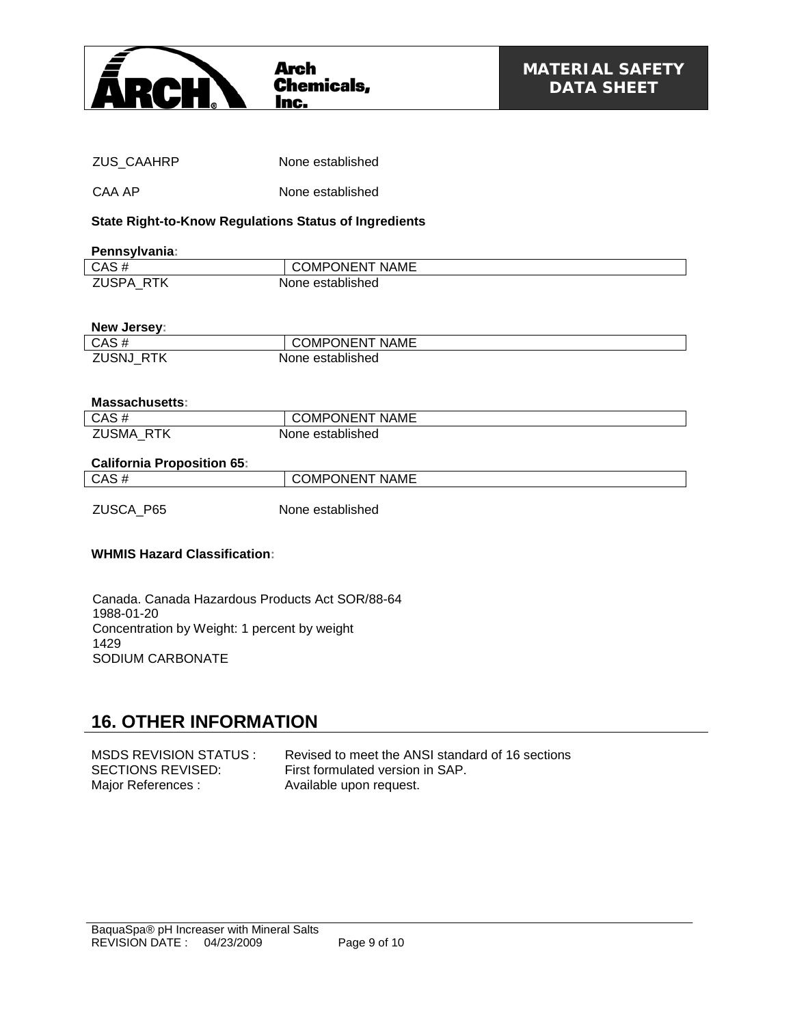

| ZUS CAAHRP | None established |  |
|------------|------------------|--|
| CAA AP     | None established |  |

### **State Right-to-Know Regulations Status of Ingredients**

#### **Pennsylvania:**

| ----------------- |                       |
|-------------------|-----------------------|
| CAS#              | <b>COMPONENT NAME</b> |
| <b>ZUSPA RTK</b>  | None established      |

### **New Jersey:**

| CAS#                | <b>COMPONENT NAME</b> |
|---------------------|-----------------------|
| ZUSNJ<br><b>RTK</b> | None established      |

### **Massachusetts:**

| CAS#                       | <b>COMPONENT NAME</b> |
|----------------------------|-----------------------|
| <b>ZUSMA</b><br><b>RTK</b> | None established      |

### **California Proposition 65:**

| ----------------------------- |                       |
|-------------------------------|-----------------------|
| CAS#                          | <b>COMPONENT NAME</b> |
| ZUSCA_P65                     | None established      |

### **WHMIS Hazard Classification:**

Canada. Canada Hazardous Products Act SOR/88-64 1988-01-20 Concentration by Weight: 1 percent by weight 1429 SODIUM CARBONATE

### **16. OTHER INFORMATION**

MSDS REVISION STATUS : Revised to meet the ANSI standard of 16 sections<br>SECTIONS REVISED: First formulated version in SAP. First formulated version in SAP. Major References : Available upon request.